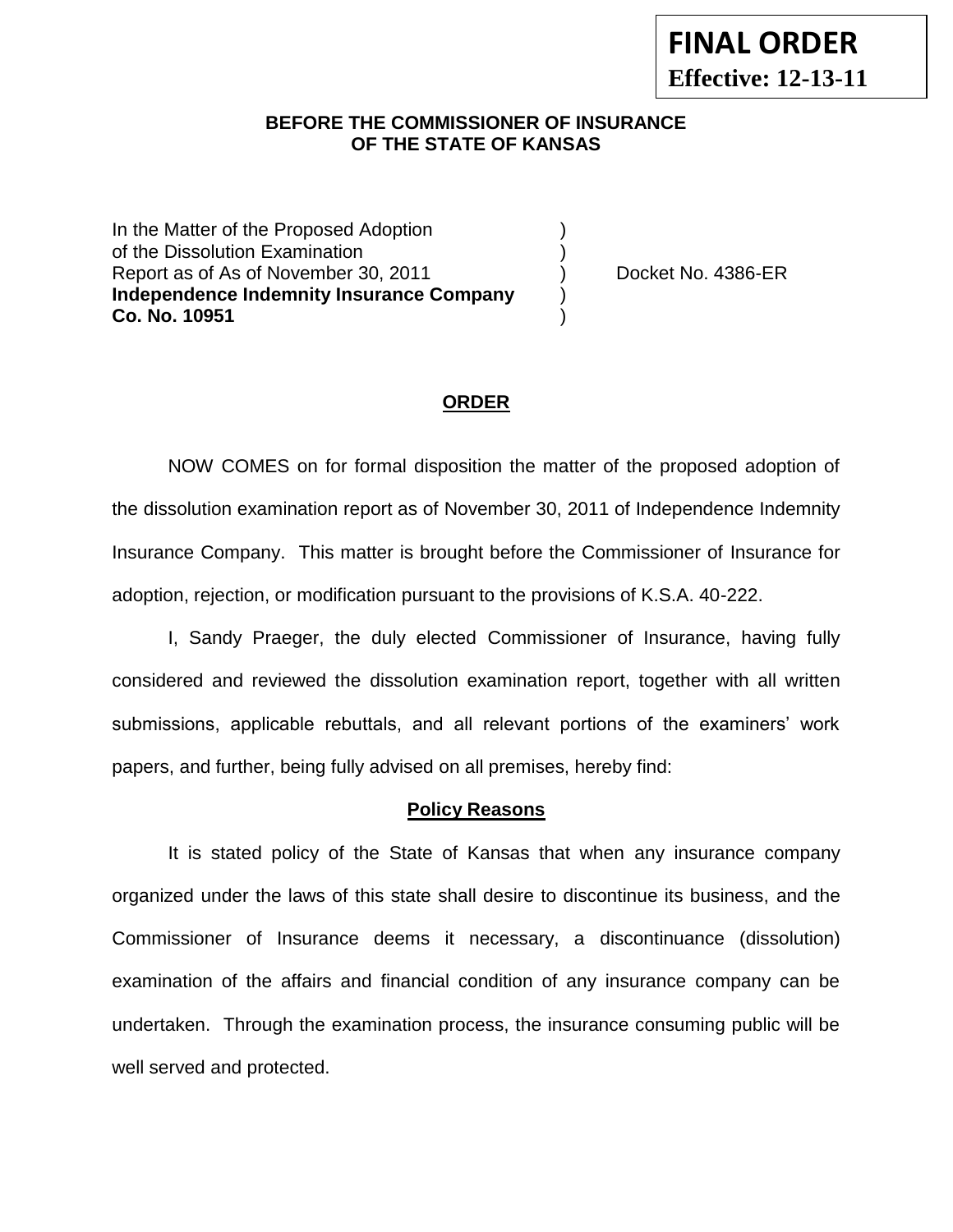## **BEFORE THE COMMISSIONER OF INSURANCE OF THE STATE OF KANSAS**

In the Matter of the Proposed Adoption of the Dissolution Examination (1999) Report as of As of November 30, 2011 (a) Docket No. 4386-ER **Independence Indemnity Insurance Company** ) **Co. No. 10951** )

### **ORDER**

NOW COMES on for formal disposition the matter of the proposed adoption of the dissolution examination report as of November 30, 2011 of Independence Indemnity Insurance Company. This matter is brought before the Commissioner of Insurance for adoption, rejection, or modification pursuant to the provisions of K.S.A. 40-222.

I, Sandy Praeger, the duly elected Commissioner of Insurance, having fully considered and reviewed the dissolution examination report, together with all written submissions, applicable rebuttals, and all relevant portions of the examiners' work papers, and further, being fully advised on all premises, hereby find:

#### **Policy Reasons**

It is stated policy of the State of Kansas that when any insurance company organized under the laws of this state shall desire to discontinue its business, and the Commissioner of Insurance deems it necessary, a discontinuance (dissolution) examination of the affairs and financial condition of any insurance company can be undertaken. Through the examination process, the insurance consuming public will be well served and protected.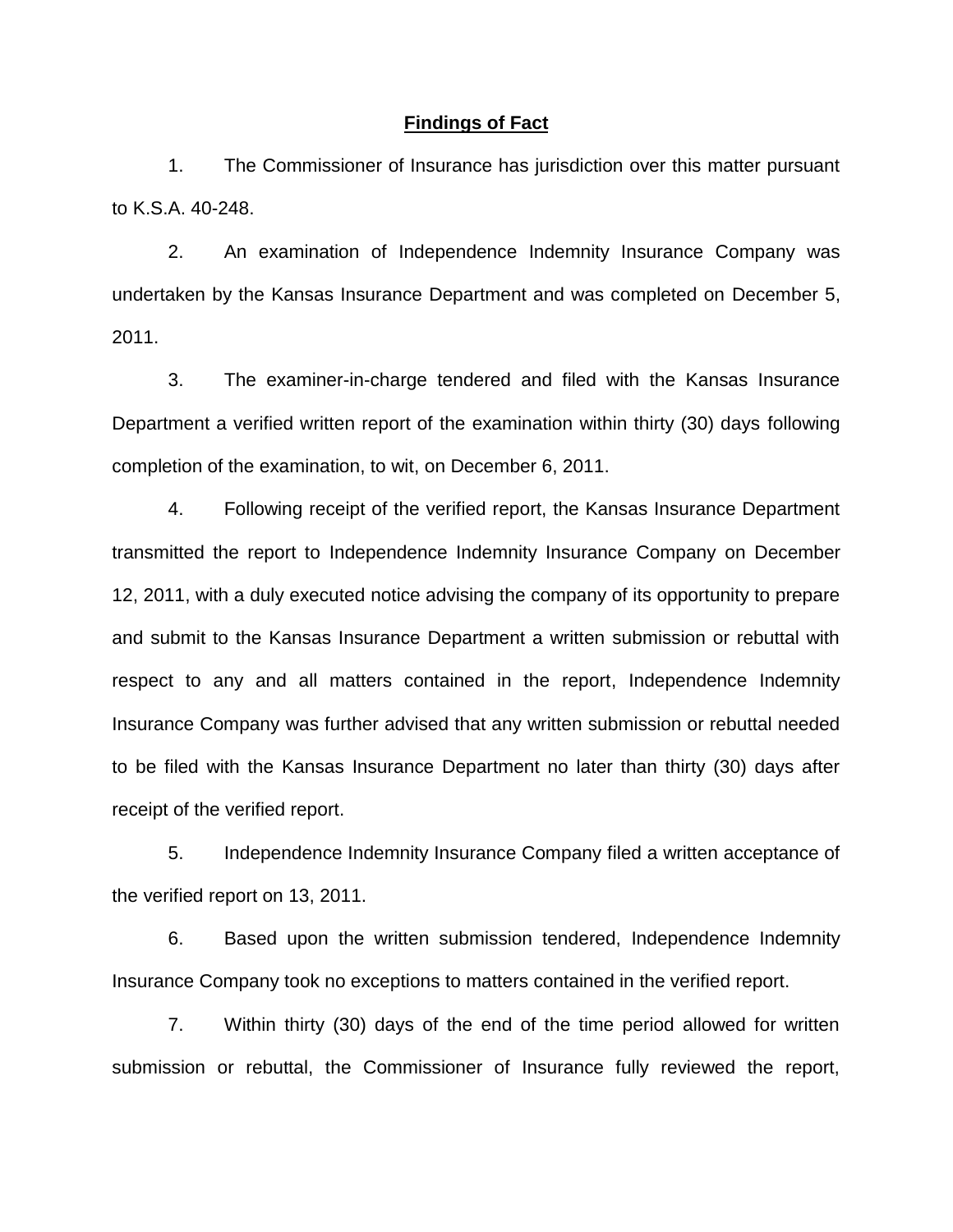#### **Findings of Fact**

1. The Commissioner of Insurance has jurisdiction over this matter pursuant to K.S.A. 40-248.

2. An examination of Independence Indemnity Insurance Company was undertaken by the Kansas Insurance Department and was completed on December 5, 2011.

3. The examiner-in-charge tendered and filed with the Kansas Insurance Department a verified written report of the examination within thirty (30) days following completion of the examination, to wit, on December 6, 2011.

4. Following receipt of the verified report, the Kansas Insurance Department transmitted the report to Independence Indemnity Insurance Company on December 12, 2011, with a duly executed notice advising the company of its opportunity to prepare and submit to the Kansas Insurance Department a written submission or rebuttal with respect to any and all matters contained in the report, Independence Indemnity Insurance Company was further advised that any written submission or rebuttal needed to be filed with the Kansas Insurance Department no later than thirty (30) days after receipt of the verified report.

5. Independence Indemnity Insurance Company filed a written acceptance of the verified report on 13, 2011.

6. Based upon the written submission tendered, Independence Indemnity Insurance Company took no exceptions to matters contained in the verified report.

7. Within thirty (30) days of the end of the time period allowed for written submission or rebuttal, the Commissioner of Insurance fully reviewed the report,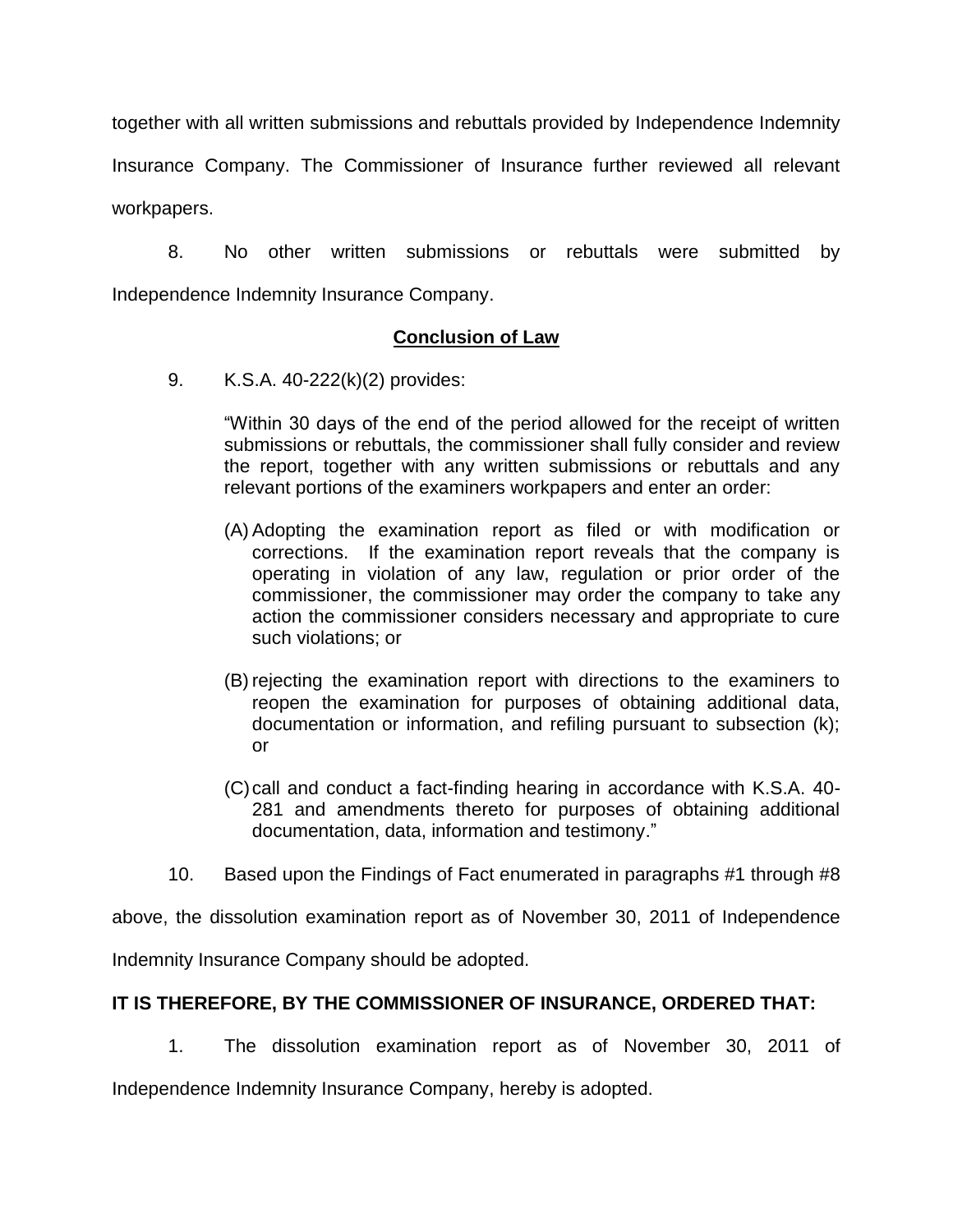together with all written submissions and rebuttals provided by Independence Indemnity Insurance Company. The Commissioner of Insurance further reviewed all relevant workpapers.

8. No other written submissions or rebuttals were submitted by Independence Indemnity Insurance Company.

## **Conclusion of Law**

9. K.S.A. 40-222(k)(2) provides:

"Within 30 days of the end of the period allowed for the receipt of written submissions or rebuttals, the commissioner shall fully consider and review the report, together with any written submissions or rebuttals and any relevant portions of the examiners workpapers and enter an order:

- (A) Adopting the examination report as filed or with modification or corrections. If the examination report reveals that the company is operating in violation of any law, regulation or prior order of the commissioner, the commissioner may order the company to take any action the commissioner considers necessary and appropriate to cure such violations; or
- (B) rejecting the examination report with directions to the examiners to reopen the examination for purposes of obtaining additional data, documentation or information, and refiling pursuant to subsection (k); or
- (C)call and conduct a fact-finding hearing in accordance with K.S.A. 40- 281 and amendments thereto for purposes of obtaining additional documentation, data, information and testimony."
- 10. Based upon the Findings of Fact enumerated in paragraphs #1 through #8

above, the dissolution examination report as of November 30, 2011 of Independence

Indemnity Insurance Company should be adopted.

## **IT IS THEREFORE, BY THE COMMISSIONER OF INSURANCE, ORDERED THAT:**

1. The dissolution examination report as of November 30, 2011 of

Independence Indemnity Insurance Company, hereby is adopted.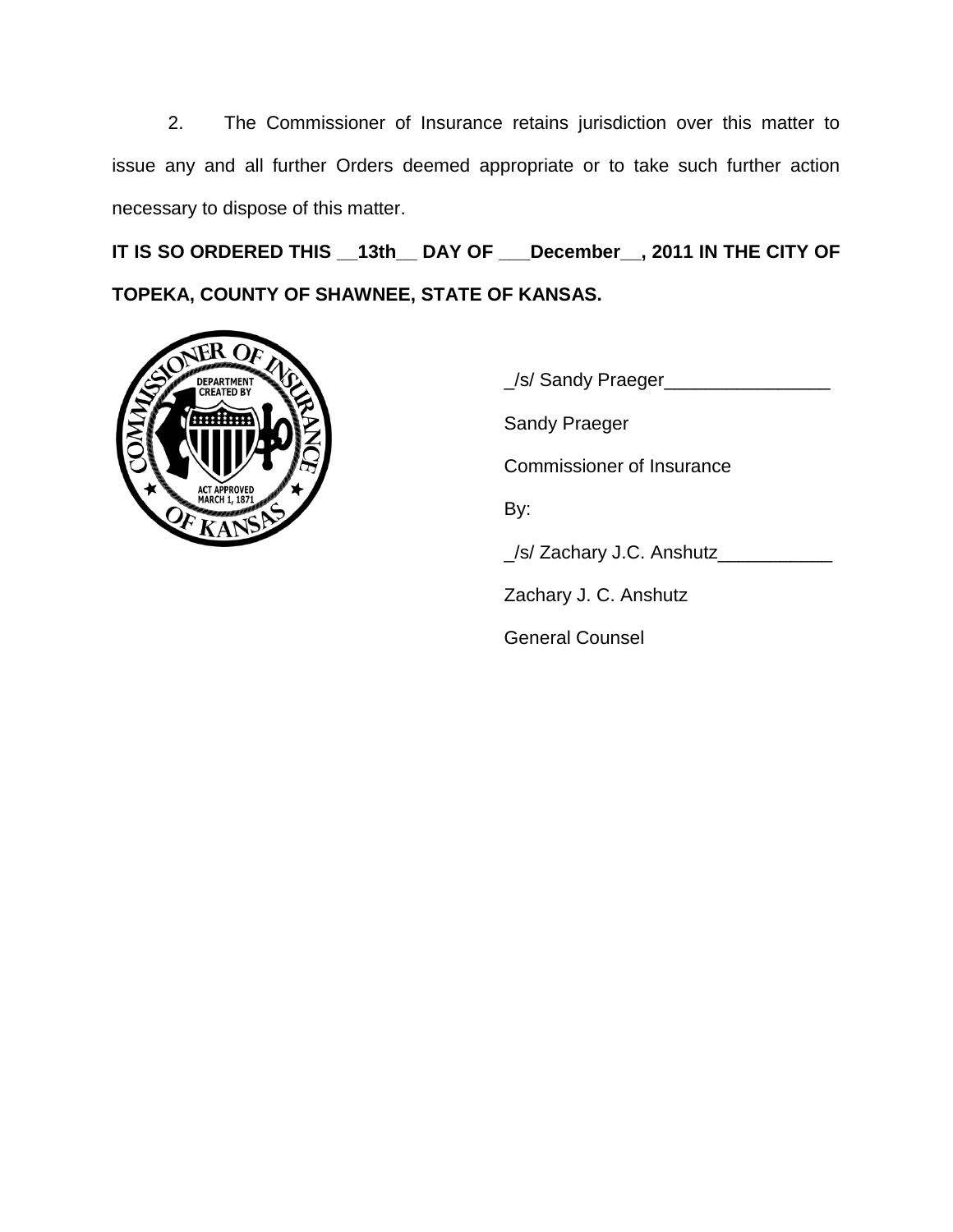2. The Commissioner of Insurance retains jurisdiction over this matter to issue any and all further Orders deemed appropriate or to take such further action necessary to dispose of this matter.

**IT IS SO ORDERED THIS \_\_13th\_\_ DAY OF \_\_\_December\_\_, 2011 IN THE CITY OF TOPEKA, COUNTY OF SHAWNEE, STATE OF KANSAS.**



\_/s/ Sandy Praeger\_\_\_\_\_\_\_\_\_\_\_\_\_\_\_\_ Sandy Praeger Commissioner of Insurance By: \_/s/ Zachary J.C. Anshutz\_\_\_\_\_\_\_\_\_\_\_ Zachary J. C. Anshutz General Counsel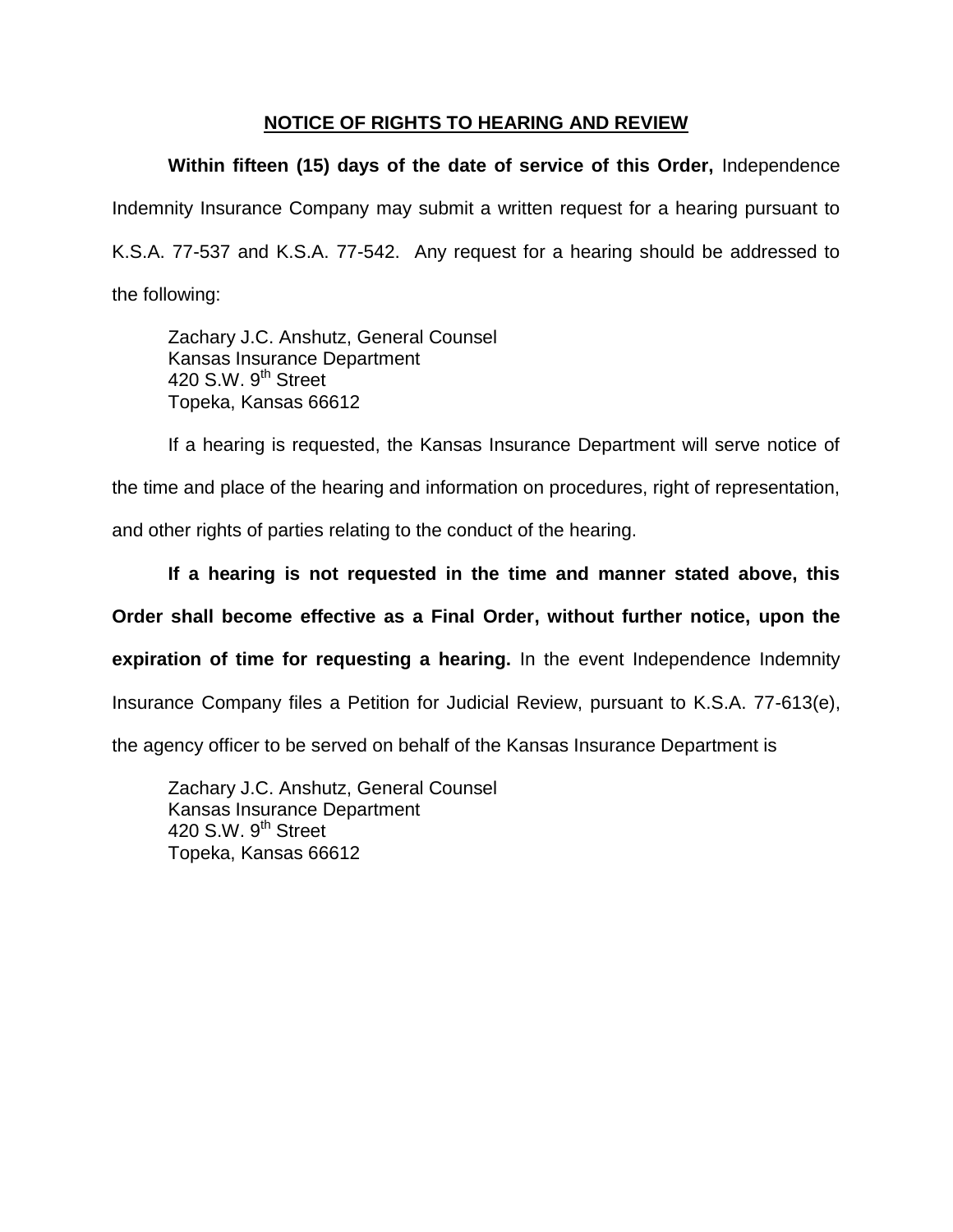## **NOTICE OF RIGHTS TO HEARING AND REVIEW**

**Within fifteen (15) days of the date of service of this Order,** Independence Indemnity Insurance Company may submit a written request for a hearing pursuant to K.S.A. 77-537 and K.S.A. 77-542. Any request for a hearing should be addressed to the following:

Zachary J.C. Anshutz, General Counsel Kansas Insurance Department 420 S.W. 9<sup>th</sup> Street Topeka, Kansas 66612

If a hearing is requested, the Kansas Insurance Department will serve notice of the time and place of the hearing and information on procedures, right of representation, and other rights of parties relating to the conduct of the hearing.

**If a hearing is not requested in the time and manner stated above, this Order shall become effective as a Final Order, without further notice, upon the expiration of time for requesting a hearing.** In the event Independence Indemnity Insurance Company files a Petition for Judicial Review, pursuant to K.S.A. 77-613(e), the agency officer to be served on behalf of the Kansas Insurance Department is

Zachary J.C. Anshutz, General Counsel Kansas Insurance Department 420 S.W.  $9<sup>th</sup>$  Street Topeka, Kansas 66612